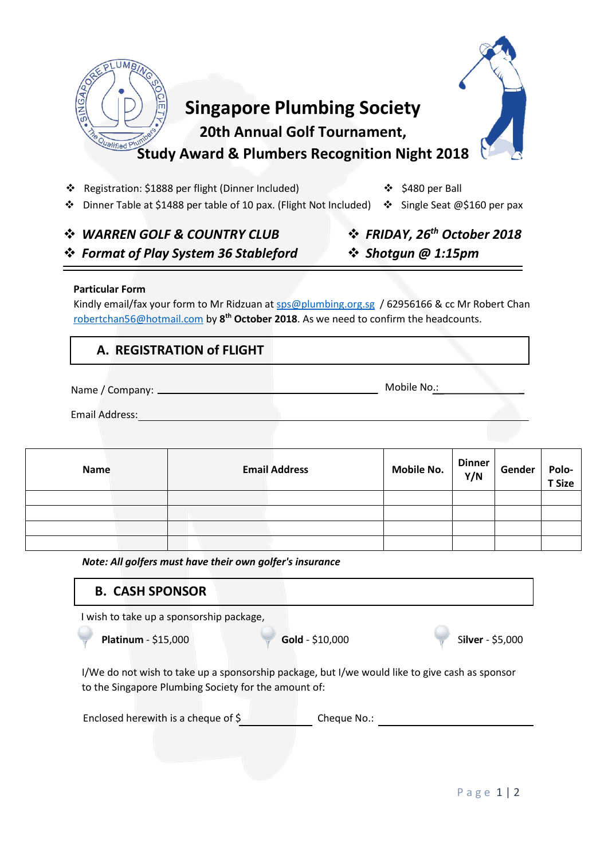

❖ Registration: \$1888 per flight (Dinner Included)

❖ \$480 per Ball

❖ Dinner Table at \$1488 per table of 10 pax. (Flight Not Included) ❖ Single Seat @\$160 per pax

### ❖ *WARREN GOLF & COUNTRY CLUB* ❖ *Format of Play System 36 Stableford*

## ❖ *FRIDAY, 26th October 2018*  ❖ *Shotgun @ 1:15pm*

### **Particular Form**

Kindly email/fax your form to Mr Ridzuan a[t sps@plumbing.org.sg](mailto:sps@plumbing.org.sg) / 62956166 & cc Mr Robert Chan [robertchan56@hotmail.com](mailto:robertchan56@hotmail.com) by **8 th October 2018**. As we need to confirm the headcounts.

### **A. REGISTRATION of FLIGHT**

Name / Company: Mobile No.:

Email Address:

| <b>Name</b> | <b>Email Address</b> | Mobile No. | $\begin{array}{c} \n\text{Dinner} \\ \n\text{Y/N} \n\end{array}$ | Gender | Polo-<br><b>T</b> Size |
|-------------|----------------------|------------|------------------------------------------------------------------|--------|------------------------|
|             |                      |            |                                                                  |        |                        |
|             |                      |            |                                                                  |        |                        |
|             |                      |            |                                                                  |        |                        |
|             |                      |            |                                                                  |        |                        |

*Note: All golfers must have their own golfer's insurance*

# **B. CASH SPONSOR**

I wish to take up a sponsorship package,

**Platinum** - \$15,000 **Gold** - \$10,000 **Gold** - \$10,000

I/We do not wish to take up a sponsorship package, but I/we would like to give cash as sponsor to the Singapore Plumbing Society for the amount of:

| Enclosed herewith is a cheque of $\frac{1}{2}$<br>Cheque No.: |  |
|---------------------------------------------------------------|--|
|---------------------------------------------------------------|--|